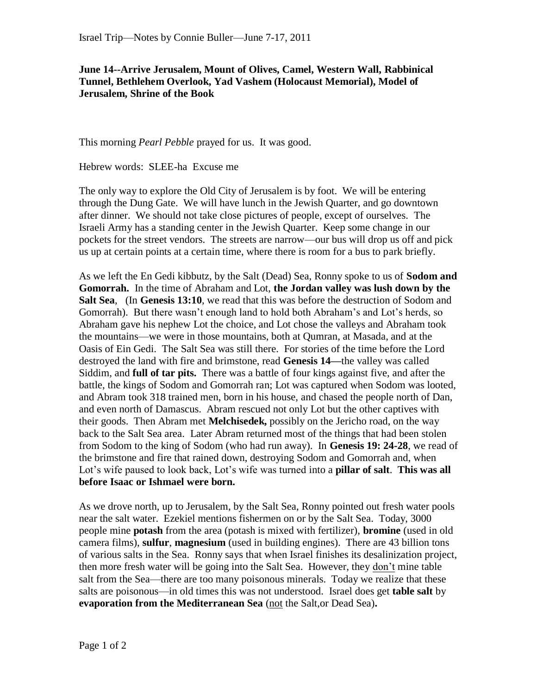## **June 14--Arrive Jerusalem, Mount of Olives, Camel, Western Wall, Rabbinical Tunnel, Bethlehem Overlook, Yad Vashem (Holocaust Memorial), Model of Jerusalem, Shrine of the Book**

This morning *Pearl Pebble* prayed for us. It was good.

Hebrew words: SLEE-ha Excuse me

The only way to explore the Old City of Jerusalem is by foot. We will be entering through the Dung Gate. We will have lunch in the Jewish Quarter, and go downtown after dinner. We should not take close pictures of people, except of ourselves. The Israeli Army has a standing center in the Jewish Quarter. Keep some change in our pockets for the street vendors. The streets are narrow—our bus will drop us off and pick us up at certain points at a certain time, where there is room for a bus to park briefly.

As we left the En Gedi kibbutz, by the Salt (Dead) Sea, Ronny spoke to us of **Sodom and Gomorrah.** In the time of Abraham and Lot, **the Jordan valley was lush down by the Salt Sea**, (In **Genesis 13:10**, we read that this was before the destruction of Sodom and Gomorrah). But there wasn't enough land to hold both Abraham's and Lot's herds, so Abraham gave his nephew Lot the choice, and Lot chose the valleys and Abraham took the mountains—we were in those mountains, both at Qumran, at Masada, and at the Oasis of Ein Gedi. The Salt Sea was still there. For stories of the time before the Lord destroyed the land with fire and brimstone, read **Genesis 14—**the valley was called Siddim, and **full of tar pits.** There was a battle of four kings against five, and after the battle, the kings of Sodom and Gomorrah ran; Lot was captured when Sodom was looted, and Abram took 318 trained men, born in his house, and chased the people north of Dan, and even north of Damascus. Abram rescued not only Lot but the other captives with their goods. Then Abram met **Melchisedek,** possibly on the Jericho road, on the way back to the Salt Sea area.Later Abram returned most of the things that had been stolen from Sodom to the king of Sodom (who had run away). In **Genesis 19: 24-28**, we read of the brimstone and fire that rained down, destroying Sodom and Gomorrah and, when Lot's wife paused to look back, Lot's wife was turned into a **pillar of salt**. **This was all before Isaac or Ishmael were born.**

As we drove north, up to Jerusalem, by the Salt Sea, Ronny pointed out fresh water pools near the salt water. Ezekiel mentions fishermen on or by the Salt Sea. Today, 3000 people mine **potash** from the area (potash is mixed with fertilizer), **bromine** (used in old camera films), **sulfur**, **magnesium** (used in building engines). There are 43 billion tons of various salts in the Sea. Ronny says that when Israel finishes its desalinization project, then more fresh water will be going into the Salt Sea. However, they don't mine table salt from the Sea—there are too many poisonous minerals. Today we realize that these salts are poisonous—in old times this was not understood. Israel does get **table salt** by **evaporation from the Mediterranean Sea** (not the Salt,or Dead Sea)**.**